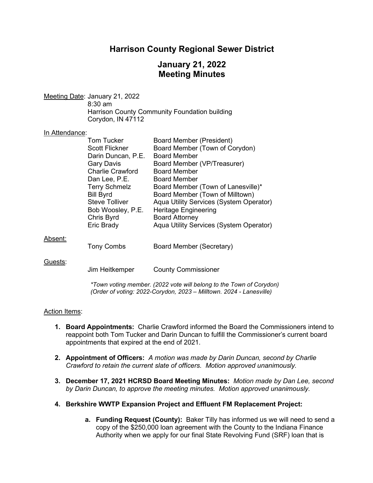# **Harrison County Regional Sewer District**

# **January 21, 2022 Meeting Minutes**

Meeting Date: January 21, 2022 8:30 am Harrison County Community Foundation building Corydon, IN 47112

#### In Attendance:

|         | Tom Tucker            | <b>Board Member (President)</b>         |
|---------|-----------------------|-----------------------------------------|
|         | <b>Scott Flickner</b> | Board Member (Town of Corydon)          |
|         | Darin Duncan, P.E.    | <b>Board Member</b>                     |
|         | <b>Gary Davis</b>     | Board Member (VP/Treasurer)             |
|         | Charlie Crawford      | <b>Board Member</b>                     |
|         | Dan Lee, P.E.         | Board Member                            |
|         | <b>Terry Schmelz</b>  | Board Member (Town of Lanesville)*      |
|         | <b>Bill Byrd</b>      | Board Member (Town of Milltown)         |
|         | <b>Steve Tolliver</b> | Aqua Utility Services (System Operator) |
|         | Bob Woosley, P.E.     | <b>Heritage Engineering</b>             |
|         | Chris Byrd            | <b>Board Attorney</b>                   |
|         | Eric Brady            | Aqua Utility Services (System Operator) |
| Absent: |                       |                                         |
|         | <b>Tony Combs</b>     | Board Member (Secretary)                |
|         |                       |                                         |
| Guests: |                       |                                         |
|         | Jim Heitkemper        | <b>County Commissioner</b>              |
|         |                       |                                         |

*\*Town voting member. (2022 vote will belong to the Town of Corydon) (Order of voting: 2022-Corydon, 2023 – Milltown. 2024 - Lanesville)*

## Action Items:

- **1. Board Appointments:** Charlie Crawford informed the Board the Commissioners intend to reappoint both Tom Tucker and Darin Duncan to fulfill the Commissioner's current board appointments that expired at the end of 2021.
- **2. Appointment of Officers:** *A motion was made by Darin Duncan, second by Charlie Crawford to retain the current slate of officers. Motion approved unanimously.*
- **3. December 17, 2021 HCRSD Board Meeting Minutes:** *Motion made by Dan Lee, second by Darin Duncan, to approve the meeting minutes. Motion approved unanimously.*
- **4. Berkshire WWTP Expansion Project and Effluent FM Replacement Project:** 
	- **a. Funding Request (County):** Baker Tilly has informed us we will need to send a copy of the \$250,000 loan agreement with the County to the Indiana Finance Authority when we apply for our final State Revolving Fund (SRF) loan that is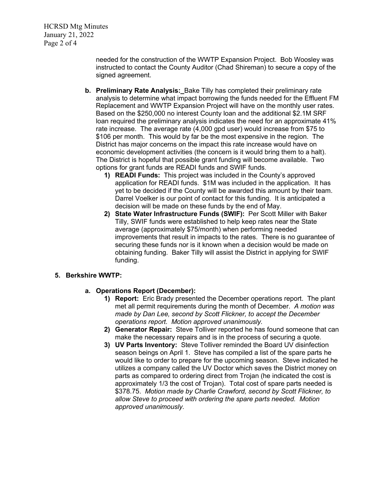HCRSD Mtg Minutes January 21, 2022 Page 2 of 4

> needed for the construction of the WWTP Expansion Project. Bob Woosley was instructed to contact the County Auditor (Chad Shireman) to secure a copy of the signed agreement.

- **b. Preliminary Rate Analysis:**Bake Tilly has completed their preliminary rate analysis to determine what impact borrowing the funds needed for the Effluent FM Replacement and WWTP Expansion Project will have on the monthly user rates. Based on the \$250,000 no interest County loan and the additional \$2.1M SRF loan required the preliminary analysis indicates the need for an approximate 41% rate increase. The average rate (4,000 gpd user) would increase from \$75 to \$106 per month. This would by far be the most expensive in the region. The District has major concerns on the impact this rate increase would have on economic development activities (the concern is it would bring them to a halt). The District is hopeful that possible grant funding will become available. Two options for grant funds are READI funds and SWIF funds.
	- **1) READI Funds:** This project was included in the County's approved application for READI funds. \$1M was included in the application. It has yet to be decided if the County will be awarded this amount by their team. Darrel Voelker is our point of contact for this funding. It is anticipated a decision will be made on these funds by the end of May.
	- **2) State Water Infrastructure Funds (SWIF):** Per Scott Miller with Baker Tilly, SWIF funds were established to help keep rates near the State average (approximately \$75/month) when performing needed improvements that result in impacts to the rates. There is no guarantee of securing these funds nor is it known when a decision would be made on obtaining funding. Baker Tilly will assist the District in applying for SWIF funding.

## **5. Berkshire WWTP:**

## **a. Operations Report (December):**

- **1) Report:** Eric Brady presented the December operations report. The plant met all permit requirements during the month of December. *A motion was made by Dan Lee, second by Scott Flickner, to accept the December operations report. Motion approved unanimously.*
- **2) Generator Repair:**Steve Tolliver reported he has found someone that can make the necessary repairs and is in the process of securing a quote.
- **3) UV Parts Inventory:**Steve Tolliver reminded the Board UV disinfection season beings on April 1. Steve has compiled a list of the spare parts he would like to order to prepare for the upcoming season. Steve indicated he utilizes a company called the UV Doctor which saves the District money on parts as compared to ordering direct from Trojan (he indicated the cost is approximately 1/3 the cost of Trojan). Total cost of spare parts needed is \$378.75. *Motion made by Charlie Crawford, second by Scott Flickner, to allow Steve to proceed with ordering the spare parts needed. Motion approved unanimously.*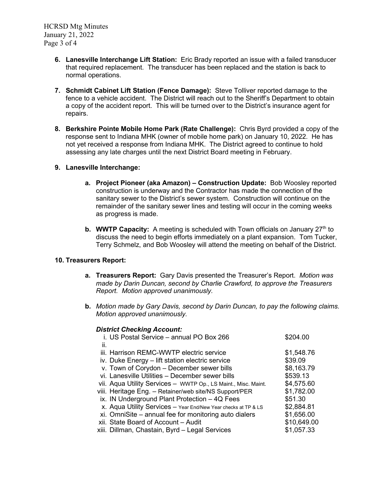HCRSD Mtg Minutes January 21, 2022 Page 3 of 4

- **6. Lanesville Interchange Lift Station:**Eric Brady reported an issue with a failed transducer that required replacement. The transducer has been replaced and the station is back to normal operations.
- **7. Schmidt Cabinet Lift Station (Fence Damage):**Steve Tolliver reported damage to the fence to a vehicle accident. The District will reach out to the Sheriff's Department to obtain a copy of the accident report. This will be turned over to the District's insurance agent for repairs.
- **8. Berkshire Pointe Mobile Home Park (Rate Challenge):** Chris Byrd provided a copy of the response sent to Indiana MHK (owner of mobile home park) on January 10, 2022. He has not yet received a response from Indiana MHK. The District agreed to continue to hold assessing any late charges until the next District Board meeting in February.

#### **9. Lanesville Interchange:**

- **a. Project Pioneer (aka Amazon) – Construction Update:** Bob Woosley reported construction is underway and the Contractor has made the connection of the sanitary sewer to the District's sewer system. Construction will continue on the remainder of the sanitary sewer lines and testing will occur in the coming weeks as progress is made.
- **b. WWTP Capacity:** A meeting is scheduled with Town officials on January 27<sup>th</sup> to discuss the need to begin efforts immediately on a plant expansion. Tom Tucker, Terry Schmelz, and Bob Woosley will attend the meeting on behalf of the District.

## **10. Treasurers Report:**

- **a. Treasurers Report:** Gary Davis presented the Treasurer's Report. *Motion was made by Darin Duncan, second by Charlie Crawford, to approve the Treasurers Report. Motion approved unanimously.*
- **b.** *Motion made by Gary Davis, second by Darin Duncan, to pay the following claims. Motion approved unanimously.*

#### *District Checking Account:*

|     | i. US Postal Service - annual PO Box 266                       | \$204.00    |
|-----|----------------------------------------------------------------|-------------|
| ii. |                                                                |             |
|     | iii. Harrison REMC-WWTP electric service                       | \$1,548.76  |
|     | iv. Duke Energy - lift station electric service                | \$39.09     |
|     | v. Town of Corydon - December sewer bills                      | \$8,163.79  |
|     | vi. Lanesville Utilities - December sewer bills                | \$539.13    |
|     | vii. Aqua Utility Services - WWTP Op., LS Maint., Misc. Maint. | \$4,575.60  |
|     | viii. Heritage Eng. – Retainer/web site/NS Support/PER         | \$1,782.00  |
|     | ix. IN Underground Plant Protection $-4Q$ Fees                 | \$51.30     |
|     | X. Aqua Utility Services - Year End/New Year checks at TP & LS | \$2,884.81  |
|     | xi. OmniSite – annual fee for monitoring auto dialers          | \$1,656.00  |
|     | xii. State Board of Account - Audit                            | \$10,649.00 |
|     | xiii. Dillman, Chastain, Byrd – Legal Services                 | \$1,057.33  |
|     |                                                                |             |